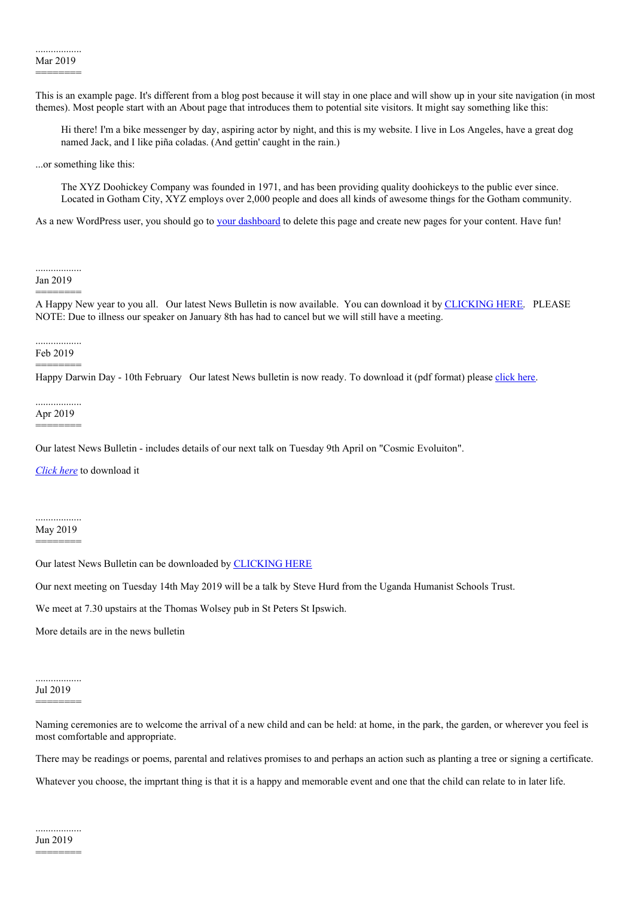This is an example page. It's different from a blog post because it will stay in one place and will show up in your site navigation (in most themes). Most people start with an About page that introduces them to potential site visitors. It might say something like this:

Hi there! I'm a bike messenger by day, aspiring actor by night, and this is my website. I live in Los Angeles, have a great dog named Jack, and I like piña coladas. (And gettin' caught in the rain.)

...or something like this:

The XYZ Doohickey Company was founded in 1971, and has been providing quality doohickeys to the public ever since. Located in Gotham City, XYZ employs over 2,000 people and does all kinds of awesome things for the Gotham community.

As a new WordPress user, you should go to your [dashboard](http://localhost/Suffolk%20Humanists/wp-admin/) to delete this page and create new pages for your content. Have fun!

..................

Jan 2019 ========

A Happy New year to you all. Our latest News Bulletin is now available. You can download it by [CLICKING](http://localhost/Suffolk%20Humanists/wp-content/uploads/2019/01/january-2019-SHANDS-News-Bulletin.pdf) HERE. PLEASE NOTE: Due to illness our speaker on January 8th has had to cancel but we will still have a meeting.

## .................. Feb 2019

========

Happy Darwin Day - 10th February Our latest News bulletin is now ready. To download it (pdf format) please [click](https://suffolkhands.org.uk/wp-content/uploads/2019/02/February-2019-SHANDS-News-Bulletin.pdf) here.

## .................. Apr 2019

========

Our latest News Bulletin - includes details of our next talk on Tuesday 9th April on "Cosmic Evoluiton".

*[Click](http://localhost/Suffolk%20Humanists/wp-content/uploads/2019/04/April-2019-SHANDS-News-Bulletin.pdf) here* to download it

## .................. May 2019

========

Our latest News Bulletin can be downloaded by [CLICKING](http://localhost/Suffolk%20Humanists/wp-content/uploads/2019/05/May-2019-SHANDS-News-Bulletin.pdf) HERE

Our next meeting on Tuesday 14th May 2019 will be a talk by Steve Hurd from the Uganda Humanist Schools Trust.

We meet at 7.30 upstairs at the Thomas Wolsey pub in St Peters St Ipswich.

More details are in the news bulletin

## .................. Jul 2019

========

Naming ceremonies are to welcome the arrival of a new child and can be held: at home, in the park, the garden, or wherever you feel is most comfortable and appropriate.

There may be readings or poems, parental and relatives promises to and perhaps an action such as planting a tree or signing a certificate.

Whatever you choose, the imprtant thing is that it is a happy and memorable event and one that the child can relate to in later life.